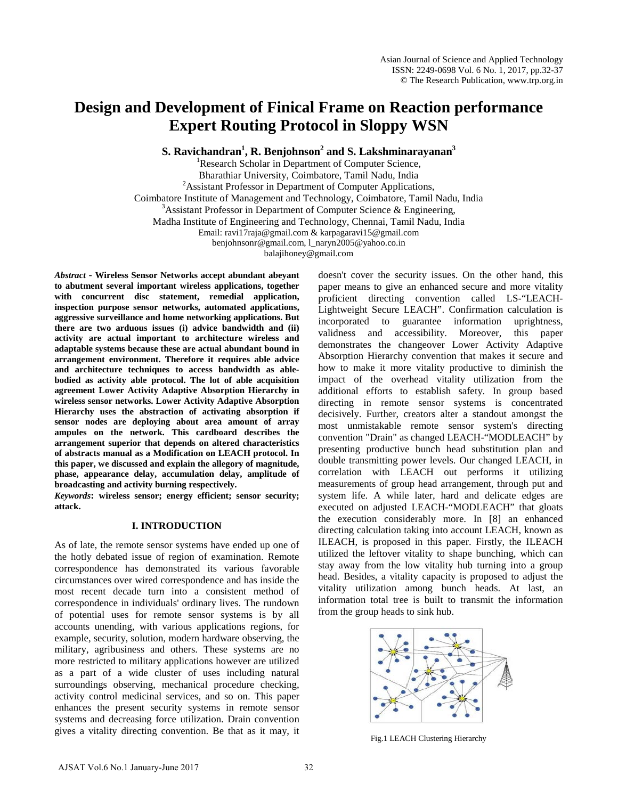# **Design and Development of Finical Frame on Reaction performance Expert Routing Protocol in Sloppy WSN**

 ${\bf S}.$  Ravichandran<sup>1</sup>, R. Benjohnson $^2$  and  ${\bf S}.$  Lakshminarayanan $^3$ 

<sup>1</sup>Research Scholar in Department of Computer Science, Bharathiar University, Coimbatore, Tamil Nadu, India <sup>2</sup> <sup>2</sup> Assistant Professor in Department of Computer Applications, Coimbatore Institute of Management and Technology, Coimbatore, Tamil Nadu, India <sup>3</sup>  $3$ Assistant Professor in Department of Computer Science & Engineering, Madha Institute of Engineering and Technology, Chennai, Tamil Nadu, India Email: [ravi17raja@gmail.com](mailto:ravi17raja@gmail.com) [& karpagaravi15@gmail.com](mailto:karpagaravi15@gmail.com) [benjohnsonr@gmail.com,](mailto:benjohnsonr@gmail.com) [l\\_naryn2005@yahoo.co.in](mailto:l_naryn2005@yahoo.co.in)  [balajihoney@gmail.com](mailto:balajihoney@gmail.com)

*Abstract* - **Wireless Sensor Networks accept abundant abeyant to abutment several important wireless applications, together with concurrent disc statement, remedial application, inspection purpose sensor networks, automated applications, aggressive surveillance and home networking applications. But there are two arduous issues (i) advice bandwidth and (ii) activity are actual important to architecture wireless and adaptable systems because these are actual abundant bound in arrangement environment. Therefore it requires able advice and architecture techniques to access bandwidth as ablebodied as activity able protocol. The lot of able acquisition agreement Lower Activity Adaptive Absorption Hierarchy in wireless sensor networks. Lower Activity Adaptive Absorption Hierarchy uses the abstraction of activating absorption if sensor nodes are deploying about area amount of array ampules on the network. This cardboard describes the arrangement superior that depends on altered characteristics of abstracts manual as a Modification on LEACH protocol. In this paper, we discussed and explain the allegory of magnitude, phase, appearance delay, accumulation delay, amplitude of broadcasting and activity burning respectively.** 

*Keywords***: wireless sensor; energy efficient; sensor security; attack.** 

### **I. INTRODUCTION**

As of late, the remote sensor systems have ended up one of the hotly debated issue of region of examination. Remote correspondence has demonstrated its various favorable circumstances over wired correspondence and has inside the most recent decade turn into a consistent method of correspondence in individuals' ordinary lives. The rundown of potential uses for remote sensor systems is by all accounts unending, with various applications regions, for example, security, solution, modern hardware observing, the military, agribusiness and others. These systems are no more restricted to military applications however are utilized as a part of a wide cluster of uses including natural surroundings observing, mechanical procedure checking, activity control medicinal services, and so on. This paper enhances the present security systems in remote sensor systems and decreasing force utilization. Drain convention gives a vitality directing convention. Be that as it may, it

doesn't cover the security issues. On the other hand, this paper means to give an enhanced secure and more vitality proficient directing convention called LS-"LEACH-Lightweight Secure LEACH". Confirmation calculation is incorporated to guarantee information uprightness, validness and accessibility. Moreover, this paper demonstrates the changeover Lower Activity Adaptive Absorption Hierarchy convention that makes it secure and how to make it more vitality productive to diminish the impact of the overhead vitality utilization from the additional efforts to establish safety. In group based directing in remote sensor systems is concentrated decisively. Further, creators alter a standout amongst the most unmistakable remote sensor system's directing convention "Drain" as changed LEACH-"MODLEACH" by presenting productive bunch head substitution plan and double transmitting power levels. Our changed LEACH, in correlation with LEACH out performs it utilizing measurements of group head arrangement, through put and system life. A while later, hard and delicate edges are executed on adjusted LEACH-"MODLEACH" that gloats the execution considerably more. In [8] an enhanced directing calculation taking into account LEACH, known as ILEACH, is proposed in this paper. Firstly, the ILEACH utilized the leftover vitality to shape bunching, which can stay away from the low vitality hub turning into a group head. Besides, a vitality capacity is proposed to adjust the vitality utilization among bunch heads. At last, an information total tree is built to transmit the information from the group heads to sink hub.



Fig.1 LEACH Clustering Hierarchy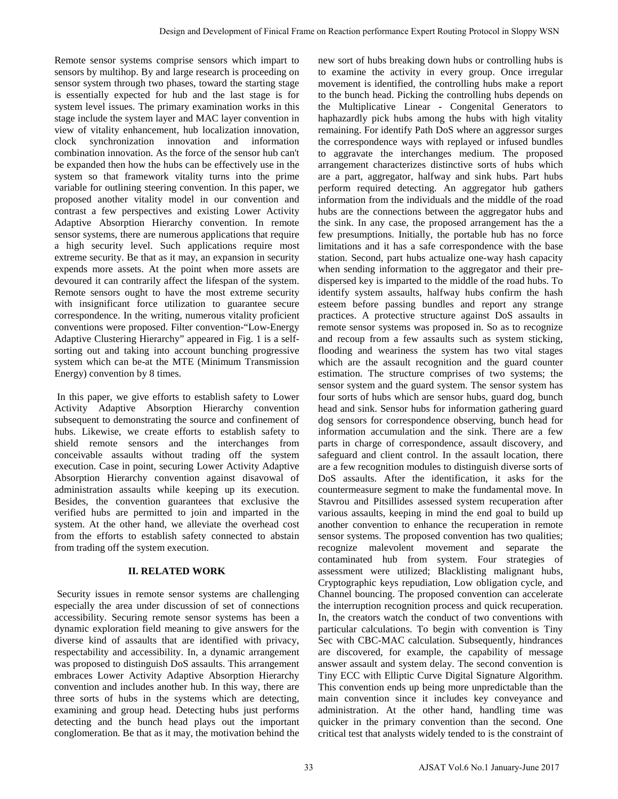Remote sensor systems comprise sensors which impart to sensors by multihop. By and large research is proceeding on sensor system through two phases, toward the starting stage is essentially expected for hub and the last stage is for system level issues. The primary examination works in this stage include the system layer and MAC layer convention in view of vitality enhancement, hub localization innovation, clock synchronization innovation and information combination innovation. As the force of the sensor hub can't be expanded then how the hubs can be effectively use in the system so that framework vitality turns into the prime variable for outlining steering convention. In this paper, we proposed another vitality model in our convention and contrast a few perspectives and existing Lower Activity Adaptive Absorption Hierarchy convention. In remote sensor systems, there are numerous applications that require a high security level. Such applications require most extreme security. Be that as it may, an expansion in security expends more assets. At the point when more assets are devoured it can contrarily affect the lifespan of the system. Remote sensors ought to have the most extreme security with insignificant force utilization to guarantee secure correspondence. In the writing, numerous vitality proficient conventions were proposed. Filter convention-"Low-Energy Adaptive Clustering Hierarchy" appeared in Fig. 1 is a selfsorting out and taking into account bunching progressive system which can be-at the MTE (Minimum Transmission Energy) convention by 8 times.

In this paper, we give efforts to establish safety to Lower Activity Adaptive Absorption Hierarchy convention subsequent to demonstrating the source and confinement of hubs. Likewise, we create efforts to establish safety to shield remote sensors and the interchanges from conceivable assaults without trading off the system execution. Case in point, securing Lower Activity Adaptive Absorption Hierarchy convention against disavowal of administration assaults while keeping up its execution. Besides, the convention guarantees that exclusive the verified hubs are permitted to join and imparted in the system. At the other hand, we alleviate the overhead cost from the efforts to establish safety connected to abstain from trading off the system execution.

# **II. RELATED WORK**

Security issues in remote sensor systems are challenging especially the area under discussion of set of connections accessibility. Securing remote sensor systems has been a dynamic exploration field meaning to give answers for the diverse kind of assaults that are identified with privacy, respectability and accessibility. In, a dynamic arrangement was proposed to distinguish DoS assaults. This arrangement embraces Lower Activity Adaptive Absorption Hierarchy convention and includes another hub. In this way, there are three sorts of hubs in the systems which are detecting, examining and group head. Detecting hubs just performs detecting and the bunch head plays out the important conglomeration. Be that as it may, the motivation behind the

new sort of hubs breaking down hubs or controlling hubs is to examine the activity in every group. Once irregular movement is identified, the controlling hubs make a report to the bunch head. Picking the controlling hubs depends on the Multiplicative Linear - Congenital Generators to haphazardly pick hubs among the hubs with high vitality remaining. For identify Path DoS where an aggressor surges the correspondence ways with replayed or infused bundles to aggravate the interchanges medium. The proposed arrangement characterizes distinctive sorts of hubs which are a part, aggregator, halfway and sink hubs. Part hubs perform required detecting. An aggregator hub gathers information from the individuals and the middle of the road hubs are the connections between the aggregator hubs and the sink. In any case, the proposed arrangement has the a few presumptions. Initially, the portable hub has no force limitations and it has a safe correspondence with the base station. Second, part hubs actualize one-way hash capacity when sending information to the aggregator and their predispersed key is imparted to the middle of the road hubs. To identify system assaults, halfway hubs confirm the hash esteem before passing bundles and report any strange practices. A protective structure against DoS assaults in remote sensor systems was proposed in. So as to recognize and recoup from a few assaults such as system sticking, flooding and weariness the system has two vital stages which are the assault recognition and the guard counter estimation. The structure comprises of two systems; the sensor system and the guard system. The sensor system has four sorts of hubs which are sensor hubs, guard dog, bunch head and sink. Sensor hubs for information gathering guard dog sensors for correspondence observing, bunch head for information accumulation and the sink. There are a few parts in charge of correspondence, assault discovery, and safeguard and client control. In the assault location, there are a few recognition modules to distinguish diverse sorts of DoS assaults. After the identification, it asks for the countermeasure segment to make the fundamental move. In Stavrou and Pitsillides assessed system recuperation after various assaults, keeping in mind the end goal to build up another convention to enhance the recuperation in remote sensor systems. The proposed convention has two qualities; recognize malevolent movement and separate the contaminated hub from system. Four strategies of assessment were utilized; Blacklisting malignant hubs, Cryptographic keys repudiation, Low obligation cycle, and Channel bouncing. The proposed convention can accelerate the interruption recognition process and quick recuperation. In, the creators watch the conduct of two conventions with particular calculations. To begin with convention is Tiny Sec with CBC-MAC calculation. Subsequently, hindrances are discovered, for example, the capability of message answer assault and system delay. The second convention is Tiny ECC with Elliptic Curve Digital Signature Algorithm. This convention ends up being more unpredictable than the main convention since it includes key conveyance and administration. At the other hand, handling time was quicker in the primary convention than the second. One critical test that analysts widely tended to is the constraint of Design and Development of Finical Frame on Reaction periodic finical Frame on Reaction (Specific Metal Frame of Finical Frame of Finical Frame of Finical Frame of Finical Frame of Finical Frame of Finical Frame of Finical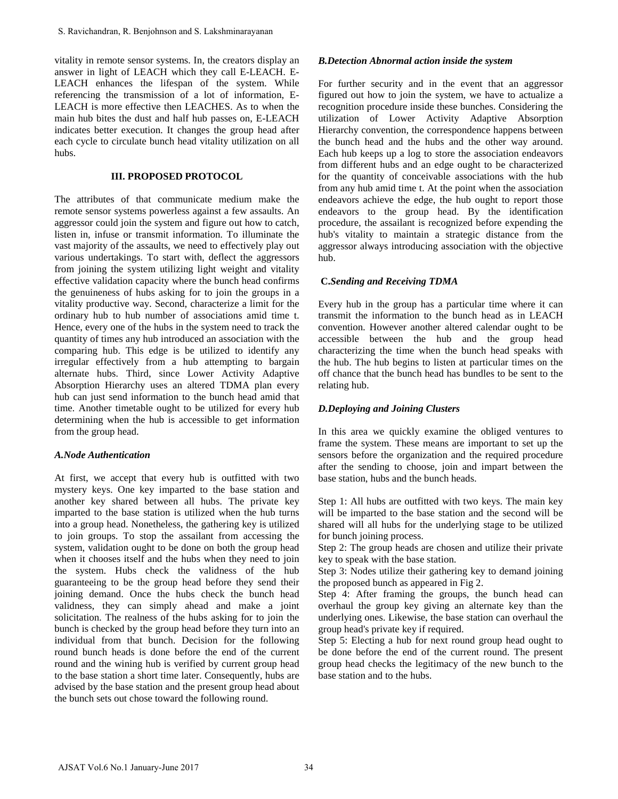vitality in remote sensor systems. In, the creators display an answer in light of LEACH which they call E-LEACH. E-LEACH enhances the lifespan of the system. While referencing the transmission of a lot of information, E-LEACH is more effective then LEACHES. As to when the main hub bites the dust and half hub passes on, E-LEACH indicates better execution. It changes the group head after each cycle to circulate bunch head vitality utilization on all hubs.

### **III. PROPOSED PROTOCOL**

The attributes of that communicate medium make the remote sensor systems powerless against a few assaults. An aggressor could join the system and figure out how to catch, listen in, infuse or transmit information. To illuminate the vast majority of the assaults, we need to effectively play out various undertakings. To start with, deflect the aggressors from joining the system utilizing light weight and vitality effective validation capacity where the bunch head confirms the genuineness of hubs asking for to join the groups in a vitality productive way. Second, characterize a limit for the ordinary hub to hub number of associations amid time t. Hence, every one of the hubs in the system need to track the quantity of times any hub introduced an association with the comparing hub. This edge is be utilized to identify any irregular effectively from a hub attempting to bargain alternate hubs. Third, since Lower Activity Adaptive Absorption Hierarchy uses an altered TDMA plan every hub can just send information to the bunch head amid that time. Another timetable ought to be utilized for every hub determining when the hub is accessible to get information from the group head. S. Ravichandran, R. Benjohnson and S. Lakshminarnyanan<br>
rialtity in emente seates systems. In, the creators display an<br>
rialtity in emente seates systems. In, the creators display<br>
mower in light of LEACH which they call E

### *A.Node Authentication*

At first, we accept that every hub is outfitted with two mystery keys. One key imparted to the base station and another key shared between all hubs. The private key imparted to the base station is utilized when the hub turns into a group head. Nonetheless, the gathering key is utilized to join groups. To stop the assailant from accessing the system, validation ought to be done on both the group head when it chooses itself and the hubs when they need to join the system. Hubs check the validness of the hub guaranteeing to be the group head before they send their joining demand. Once the hubs check the bunch head validness, they can simply ahead and make a joint solicitation. The realness of the hubs asking for to join the bunch is checked by the group head before they turn into an individual from that bunch. Decision for the following round bunch heads is done before the end of the current round and the wining hub is verified by current group head to the base station a short time later. Consequently, hubs are advised by the base station and the present group head about the bunch sets out chose toward the following round.

### *B.Detection Abnormal action inside the system*

For further security and in the event that an aggressor figured out how to join the system, we have to actualize a recognition procedure inside these bunches. Considering the utilization of Lower Activity Adaptive Absorption Hierarchy convention, the correspondence happens between the bunch head and the hubs and the other way around. Each hub keeps up a log to store the association endeavors from different hubs and an edge ought to be characterized for the quantity of conceivable associations with the hub from any hub amid time t. At the point when the association endeavors achieve the edge, the hub ought to report those endeavors to the group head. By the identification procedure, the assailant is recognized before expending the hub's vitality to maintain a strategic distance from the aggressor always introducing association with the objective hub.

### **C.***Sending and Receiving TDMA*

Every hub in the group has a particular time where it can transmit the information to the bunch head as in LEACH convention. However another altered calendar ought to be accessible between the hub and the group head characterizing the time when the bunch head speaks with the hub. The hub begins to listen at particular times on the off chance that the bunch head has bundles to be sent to the relating hub.

## *D.Deploying and Joining Clusters*

In this area we quickly examine the obliged ventures to frame the system. These means are important to set up the sensors before the organization and the required procedure after the sending to choose, join and impart between the base station, hubs and the bunch heads.

Step 1: All hubs are outfitted with two keys. The main key will be imparted to the base station and the second will be shared will all hubs for the underlying stage to be utilized for bunch joining process.

Step 2: The group heads are chosen and utilize their private key to speak with the base station.

Step 3: Nodes utilize their gathering key to demand joining the proposed bunch as appeared in Fig 2.

Step 4: After framing the groups, the bunch head can overhaul the group key giving an alternate key than the underlying ones. Likewise, the base station can overhaul the group head's private key if required.

Step 5: Electing a hub for next round group head ought to be done before the end of the current round. The present group head checks the legitimacy of the new bunch to the base station and to the hubs.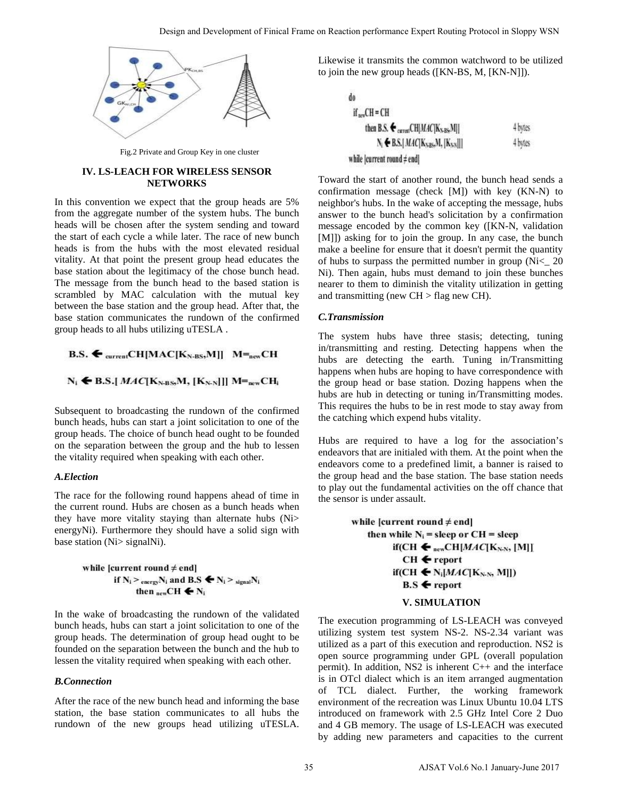

Fig.2 Private and Group Key in one cluster

### **IV. LS-LEACH FOR WIRELESS SENSOR NETWORKS**

In this convention we expect that the group heads are 5% from the aggregate number of the system hubs. The bunch heads will be chosen after the system sending and toward the start of each cycle a while later. The race of new bunch heads is from the hubs with the most elevated residual vitality. At that point the present group head educates the base station about the legitimacy of the chose bunch head. The message from the bunch head to the based station is scrambled by MAC calculation with the mutual key between the base station and the group head. After that, the base station communicates the rundown of the confirmed group heads to all hubs utilizing uTESLA .

Subsequent to broadcasting the rundown of the confirmed bunch heads, hubs can start a joint solicitation to one of the group heads. The choice of bunch head ought to be founded on the separation between the group and the hub to lessen the vitality required when speaking with each other.

### *A.Election*

The race for the following round happens ahead of time in the current round. Hubs are chosen as a bunch heads when they have more vitality staying than alternate hubs (Ni> energyNi). Furthermore they should have a solid sign with base station (Ni> signalNi).

$$
\begin{aligned}\n\text{while } [\text{current round} \neq \text{end}] \\
\text{if } N_i > \text{energy} N_i \text{ and } B.S \leftarrow N_i > \text{signal} N_i \\
\text{then } \text{new} \text{CH} \leftarrow N_i\n\end{aligned}
$$

In the wake of broadcasting the rundown of the validated bunch heads, hubs can start a joint solicitation to one of the group heads. The determination of group head ought to be founded on the separation between the bunch and the hub to lessen the vitality required when speaking with each other.

### *B.Connection*

After the race of the new bunch head and informing the base station, the base station communicates to all hubs the rundown of the new groups head utilizing uTESLA. Likewise it transmits the common watchword to be utilized to join the new group heads ([KN-BS, M, [KN-N]]).

do  
\nif <sub>new</sub>CH = CH  
\nthen B.S. 
$$
\bigoplus_{\text{current}} CH[MAC[K_{N:BS},M]]
$$
  
\nN<sub>i</sub>  $\bigoplus$  BS.[*MAC*[K<sub>N:BS</sub>,M,[K<sub>N:N</sub>]]]  
\n4 bytes  
\nwhile [current round ≠ end]

Toward the start of another round, the bunch head sends a confirmation message (check [M]) with key (KN-N) to neighbor's hubs. In the wake of accepting the message, hubs answer to the bunch head's solicitation by a confirmation message encoded by the common key ([KN-N, validation [M]]) asking for to join the group. In any case, the bunch make a beeline for ensure that it doesn't permit the quantity of hubs to surpass the permitted number in group (Ni<\_ 20 Ni). Then again, hubs must demand to join these bunches nearer to them to diminish the vitality utilization in getting and transmitting (new  $CH > flag$  new  $CH$ ).

### *C.Transmission*

The system hubs have three stasis; detecting, tuning in/transmitting and resting. Detecting happens when the hubs are detecting the earth. Tuning in/Transmitting happens when hubs are hoping to have correspondence with the group head or base station. Dozing happens when the hubs are hub in detecting or tuning in/Transmitting modes. This requires the hubs to be in rest mode to stay away from the catching which expend hubs vitality.

Hubs are required to have a log for the association's endeavors that are initialed with them. At the point when the endeavors come to a predefined limit, a banner is raised to the group head and the base station. The base station needs to play out the fundamental activities on the off chance that the sensor is under assault.

### **V. SIMULATION**

The execution programming of LS-LEACH was conveyed utilizing system test system NS-2. NS-2.34 variant was utilized as a part of this execution and reproduction. NS2 is open source programming under GPL (overall population permit). In addition, NS2 is inherent C++ and the interface is in OTcl dialect which is an item arranged augmentation of TCL dialect. Further, the working framework environment of the recreation was Linux Ubuntu 10.04 LTS introduced on framework with 2.5 GHz Intel Core 2 Duo and 4 GB memory. The usage of LS-LEACH was executed by adding new parameters and capacities to the current Stagn and Development of Finical Frame on Reaction periodicines (specified in state of the Northern Development on the minimum on the minimum on the minimum on the minimum on  $\mathbf{R} = \mathbf{R} \cdot \mathbf{R}$  ( $\mathbf{R} \cdot \mathbf{R} = \mathbf{R$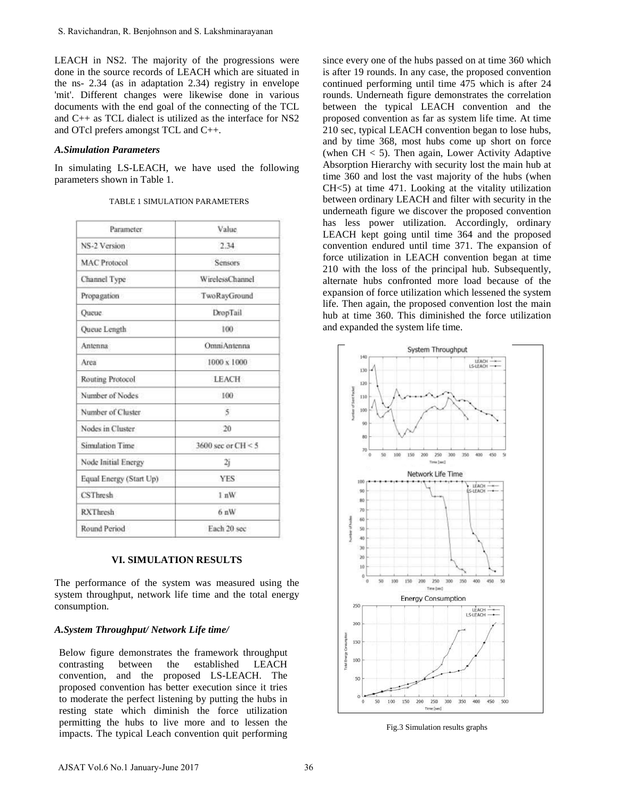### *A.Simulation Parameters*

| Value.<br>Parameter<br>NS-2 Version<br>2.34<br><b>MAC Protocol</b><br><b>Sensors</b><br><b>WirelessChannel</b><br>Channel Type<br>Propagation<br>TwoRayGround<br>Oueue.<br>DropTail |
|-------------------------------------------------------------------------------------------------------------------------------------------------------------------------------------|
|                                                                                                                                                                                     |
|                                                                                                                                                                                     |
|                                                                                                                                                                                     |
|                                                                                                                                                                                     |
|                                                                                                                                                                                     |
|                                                                                                                                                                                     |
| 100<br>Queue Length                                                                                                                                                                 |
| OmniAntenna<br>Antenna                                                                                                                                                              |
| Area<br>1000 x 1000                                                                                                                                                                 |
| Routing Protocol<br><b>LEACH</b>                                                                                                                                                    |
| Number of Nodes<br>100                                                                                                                                                              |
| Number of Cluster<br>5                                                                                                                                                              |
| Nodes in Cluster<br>20                                                                                                                                                              |
| Sinulation Time<br>3600 sec or $CH < 5$                                                                                                                                             |
| Node Initial Energy<br>2j                                                                                                                                                           |
| Equal Energy (Start Up)<br>YES                                                                                                                                                      |
| <b>CSThresh</b><br>$1 \text{ nW}$                                                                                                                                                   |
| <b>RXThresh</b><br>6nW                                                                                                                                                              |
|                                                                                                                                                                                     |

| TABLE 1 SIMULATION PARAMETERS |  |  |  |
|-------------------------------|--|--|--|
|                               |  |  |  |

### **VI. SIMULATION RESULTS**

### *A.System Throughput/ Network Life time/*

since every one of the hubs passed on at time 360 which is after 19 rounds. In any case, the proposed convention continued performing until time 475 which is after 24 rounds. Underneath figure demonstrates the correlation between the typical LEACH convention and the proposed convention as far as system life time. At time 210 sec, typical LEACH convention began to lose hubs, and by time 368, most hubs come up short on force (when  $CH < 5$ ). Then again, Lower Activity Adaptive Absorption Hierarchy with security lost the main hub at time 360 and lost the vast majority of the hubs (when CH<5) at time 471. Looking at the vitality utilization between ordinary LEACH and filter with security in the underneath figure we discover the proposed convention has less power utilization. Accordingly, ordinary LEACH kept going until time 364 and the proposed convention endured until time 371. The expansion of force utilization in LEACH convention began at time 210 with the loss of the principal hub. Subsequently, alternate hubs confronted more load because of the expansion of force utilization which lessened the system life. Then again, the proposed convention lost the main hub at time 360. This diminished the force utilization and expanded the system life time.



Fig.3 Simulation results graphs